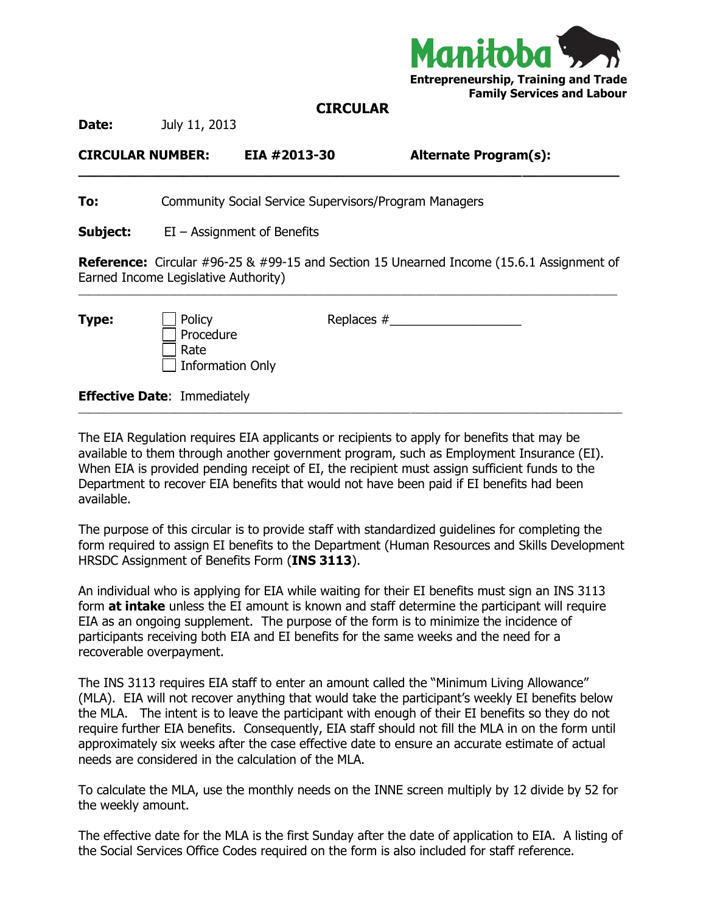

## **CIRCULAR**

**\_\_\_\_\_\_\_\_\_\_\_\_\_\_\_\_\_\_\_\_\_\_\_\_\_\_\_\_\_\_\_\_\_\_\_\_\_\_\_\_\_\_\_\_\_\_\_\_\_\_\_\_\_\_\_\_\_\_\_\_\_\_\_\_\_\_\_**

**Date:** July 11, 2013

**CIRCULAR NUMBER: EIA #2013-30 Alternate Program(s):** 

**To:** Community Social Service Supervisors/Program Managers

**Subject:** EI – Assignment of Benefits

**Reference:** Circular #96-25 & #99-15 and Section 15 Unearned Income (15.6.1 Assignment of Earned Income Legislative Authority)  $\_$  , and the state of the state of the state of the state of the state of the state of the state of the state of the state of the state of the state of the state of the state of the state of the state of the state of the

| Type: | $\Box$ Policy    |
|-------|------------------|
|       | $\Box$ Procedure |
|       | $\Box$ Rate      |
|       | Information Only |

**Type:** Policy Replaces #\_\_\_\_\_\_\_\_\_\_\_\_\_\_\_\_\_\_\_

**Effective Date**: Immediately

The EIA Regulation requires EIA applicants or recipients to apply for benefits that may be available to them through another government program, such as Employment Insurance (EI). When EIA is provided pending receipt of EI, the recipient must assign sufficient funds to the Department to recover EIA benefits that would not have been paid if EI benefits had been available.

\_\_\_\_\_\_\_\_\_\_\_\_\_\_\_\_\_\_\_\_\_\_\_\_\_\_\_\_\_\_\_\_\_\_\_\_\_\_\_\_\_\_\_\_\_\_\_\_\_\_\_\_\_\_\_\_\_\_\_\_\_\_\_\_\_\_\_\_\_\_\_\_\_\_\_\_\_\_\_\_\_\_\_\_\_\_\_\_\_\_\_\_\_\_\_\_\_\_\_\_\_\_\_\_\_\_\_\_

The purpose of this circular is to provide staff with standardized guidelines for completing the form required to assign EI benefits to the Department (Human Resources and Skills Development HRSDC Assignment of Benefits Form (**INS 3113**).

An individual who is applying for EIA while waiting for their EI benefits must sign an INS 3113 form **at intake** unless the EI amount is known and staff determine the participant will require EIA as an ongoing supplement. The purpose of the form is to minimize the incidence of participants receiving both EIA and EI benefits for the same weeks and the need for a recoverable overpayment.

The INS 3113 requires EIA staff to enter an amount called the "Minimum Living Allowance" (MLA). EIA will not recover anything that would take the participant's weekly EI benefits below the MLA. The intent is to leave the participant with enough of their EI benefits so they do not require further EIA benefits. Consequently, EIA staff should not fill the MLA in on the form until approximately six weeks after the case effective date to ensure an accurate estimate of actual needs are considered in the calculation of the MLA.

To calculate the MLA, use the monthly needs on the INNE screen multiply by 12 divide by 52 for the weekly amount.

The effective date for the MLA is the first Sunday after the date of application to EIA. A listing of the Social Services Office Codes required on the form is also included for staff reference.